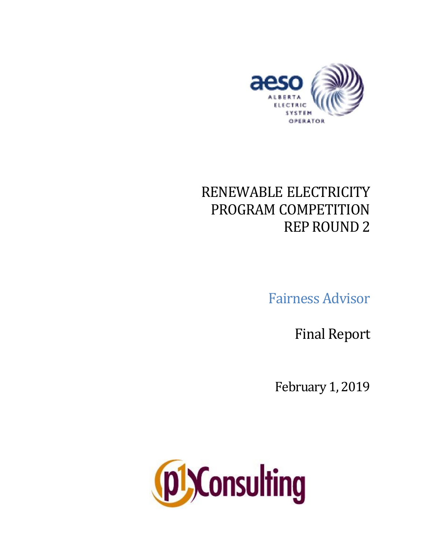

# RENEWABLE ELECTRICITY PROGRAM COMPETITION REPROUND 2

Fairness Advisor

Final Report

February 1, 2019

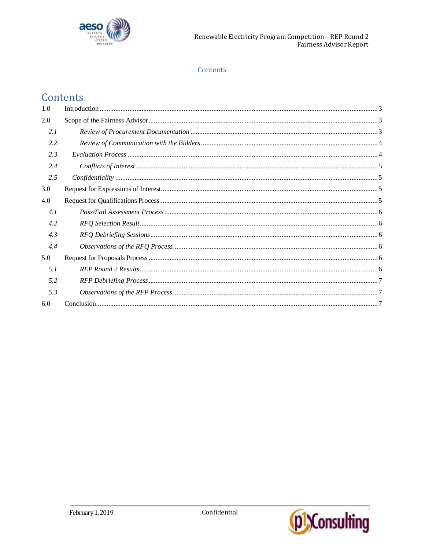

# Contents

# Contents

| 1.0 |  |
|-----|--|
| 2.0 |  |
| 2.1 |  |
| 2.2 |  |
| 2.3 |  |
| 2.4 |  |
| 2.5 |  |
| 3.0 |  |
| 4.0 |  |
| 4.1 |  |
| 4.2 |  |
| 4.3 |  |
| 4.4 |  |
| 5.0 |  |
| 5.1 |  |
| 5.2 |  |
| 5.3 |  |
| 6.0 |  |

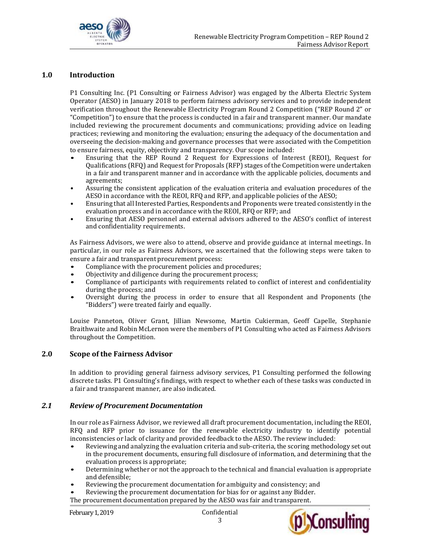

#### <span id="page-2-0"></span>**1.0 Introduction**

P1 Consulting Inc. (P1 Consulting or Fairness Advisor) was engaged by the Alberta Electric System Operator (AESO) in January 2018 to perform fairness advisory services and to provide independent verification throughout the Renewable Electricity Program Round 2 Competition ("REP Round 2" or "Competition") to ensure that the process is conducted in a fair and transparent manner. Our mandate included reviewing the procurement documents and communications; providing advice on leading practices; reviewing and monitoring the evaluation; ensuring the adequacy of the documentation and overseeing the decision-making and governance processes that were associated with the Competition to ensure fairness, equity, objectivity and transparency. Our scope included:

- Ensuring that the REP Round 2 Request for Expressions of Interest (REOI), Request for Qualifications (RFQ) and Request for Proposals (RFP) stages of the Competition were undertaken in a fair and transparent manner and in accordance with the applicable policies, documents and agreements;
- Assuring the consistent application of the evaluation criteria and evaluation procedures of the AESO in accordance with the REOI, RFQ and RFP, and applicable policies of the AESO;
- Ensuring that all Interested Parties, Respondents and Proponents were treated consistently in the evaluation process and in accordance with the REOI, RFQ or RFP; and
- Ensuring that AESO personnel and external advisors adhered to the AESO's conflict of interest and confidentiality requirements.

As Fairness Advisors, we were also to attend, observe and provide guidance at internal meetings. In particular, in our role as Fairness Advisors, we ascertained that the following steps were taken to ensure a fair and transparent procurement process:

- Compliance with the procurement policies and procedures;
- Objectivity and diligence during the procurement process;
- Compliance of participants with requirements related to conflict of interest and confidentiality during the process; and
- Oversight during the process in order to ensure that all Respondent and Proponents (the "Bidders") were treated fairly and equally.

Louise Panneton, Oliver Grant, Jillian Newsome, Martin Cukierman, Geoff Capelle, Stephanie Braithwaite and Robin McLernon were the members of P1 Consulting who acted as Fairness Advisors throughout the Competition.

#### <span id="page-2-1"></span>**2.0 Scope of the Fairness Advisor**

In addition to providing general fairness advisory services, P1 Consulting performed the following discrete tasks. P1 Consulting's findings, with respect to whether each of these tasks was conducted in a fair and transparent manner, are also indicated.

#### <span id="page-2-2"></span>*2.1 Review of Procurement Documentation*

In our role as Fairness Advisor, we reviewed all draft procurement documentation, including the REOI, RFQ and RFP prior to issuance for the renewable electricity industry to identify potential inconsistencies or lack of clarity and provided feedback to the AESO. The review included:

- Reviewing and analyzing the evaluation criteria and sub-criteria, the scoring methodology set out in the procurement documents, ensuring full disclosure of information, and determining that the evaluation process is appropriate;
- Determining whether or not the approach to the technical and financial evaluation is appropriate and defensible;
- Reviewing the procurement documentation for ambiguity and consistency; and
- Reviewing the procurement documentation for bias for or against any Bidder.
- The procurement documentation prepared by the AESO was fair and transparent.



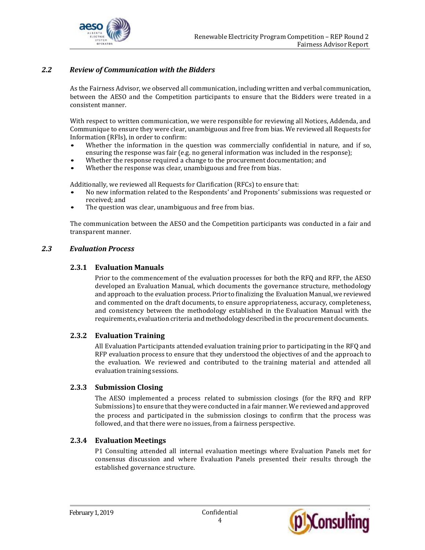

# <span id="page-3-0"></span>*2.2 Review of Communication with the Bidders*

As the Fairness Advisor, we observed all communication, including written and verbal communication, between the AESO and the Competition participants to ensure that the Bidders were treated in a consistent manner.

With respect to written communication, we were responsible for reviewing all Notices, Addenda, and Communique to ensure they were clear, unambiguous and free from bias. We reviewed all Requests for Information (RFIs), in order to confirm:

- Whether the information in the question was commercially confidential in nature, and if so, ensuring the response was fair (e.g. no general information was included in the response);
- Whether the response required a change to the procurement documentation; and
- Whether the response was clear, unambiguous and free from bias.

Additionally, we reviewed all Requests for Clarification (RFCs) to ensure that:

- No new information related to the Respondents' and Proponents' submissions was requested or received; and
- The question was clear, unambiguous and free from bias.

The communication between the AESO and the Competition participants was conducted in a fair and transparent manner.

#### <span id="page-3-1"></span>*2.3 Evaluation Process*

#### **2.3.1 Evaluation Manuals**

Prior to the commencement of the evaluation processes for both the RFQ and RFP, the AESO developed an Evaluation Manual, which documents the governance structure, methodology and approach to the evaluation process. Prior to finalizing the Evaluation Manual, we reviewed and commented on the draft documents, to ensure appropriateness, accuracy, completeness, and consistency between the methodology established in the Evaluation Manual with the requirements, evaluation criteria and methodologydescribed in the procurement documents.

#### **2.3.2 Evaluation Training**

All Evaluation Participants attended evaluation training prior to participating in the RFQ and RFP evaluation process to ensure that they understood the objectives of and the approach to the evaluation. We reviewed and contributed to the training material and attended all evaluation training sessions.

#### **2.3.3 Submission Closing**

The AESO implemented a process related to submission closings (for the RFQ and RFP Submissions) to ensure that they were conducted in a fair manner. We reviewed and approved the process and participated in the submission closings to confirm that the process was followed, and that there were no issues, from a fairness perspective.

#### **2.3.4 Evaluation Meetings**

P1 Consulting attended all internal evaluation meetings where Evaluation Panels met for consensus discussion and where Evaluation Panels presented their results through the established governance structure.

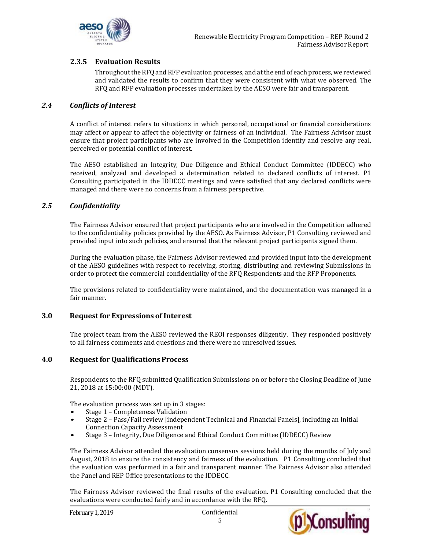

# **2.3.5 Evaluation Results**

Throughout the RFQ and RFP evaluation processes, and at the end of each process, we reviewed and validated the results to confirm that they were consistent with what we observed. The RFQ and RFP evaluation processes undertaken by the AESO were fair and transparent.

#### <span id="page-4-0"></span>*2.4 Conflicts of Interest*

A conflict of interest refers to situations in which personal, occupational or financial considerations may affect or appear to affect the objectivity or fairness of an individual. The Fairness Advisor must ensure that project participants who are involved in the Competition identify and resolve any real, perceived or potential conflict of interest.

The AESO established an Integrity, Due Diligence and Ethical Conduct Committee (IDDECC) who received, analyzed and developed a determination related to declared conflicts of interest. P1 Consulting participated in the IDDECC meetings and were satisfied that any declared conflicts were managed and there were no concerns from a fairness perspective.

#### <span id="page-4-1"></span>*2.5 Confidentiality*

The Fairness Advisor ensured that project participants who are involved in the Competition adhered to the confidentiality policies provided by the AESO. As Fairness Advisor, P1 Consulting reviewed and provided input into such policies, and ensured that the relevant project participants signed them.

During the evaluation phase, the Fairness Advisor reviewed and provided input into the development of the AESO guidelines with respect to receiving, storing, distributing and reviewing Submissions in order to protect the commercial confidentiality of the RFQ Respondents and the RFP Proponents.

The provisions related to confidentiality were maintained, and the documentation was managed in a fair manner.

#### <span id="page-4-2"></span>**3.0 Request for Expressions of Interest**

The project team from the AESO reviewed the REOI responses diligently. They responded positively to all fairness comments and questions and there were no unresolved issues.

#### <span id="page-4-3"></span>**4.0 Requestfor QualificationsProcess**

Respondents to the RFQ submitted Qualification Submissions on or before the Closing Deadline of June 21, 2018 at 15:00:00 (MDT).

The evaluation process was set up in 3 stages:

- Stage 1 Completeness Validation
- Stage 2 Pass/Fail review [independent Technical and Financial Panels], including an Initial Connection Capacity Assessment
- Stage 3 Integrity, Due Diligence and Ethical Conduct Committee (IDDECC) Review

The Fairness Advisor attended the evaluation consensus sessions held during the months of July and August, 2018 to ensure the consistency and fairness of the evaluation. P1 Consulting concluded that the evaluation was performed in a fair and transparent manner. The Fairness Advisor also attended the Panel and REP Office presentations to the IDDECC.

The Fairness Advisor reviewed the final results of the evaluation. P1 Consulting concluded that the evaluations were conducted fairly and in accordance with the RFQ.



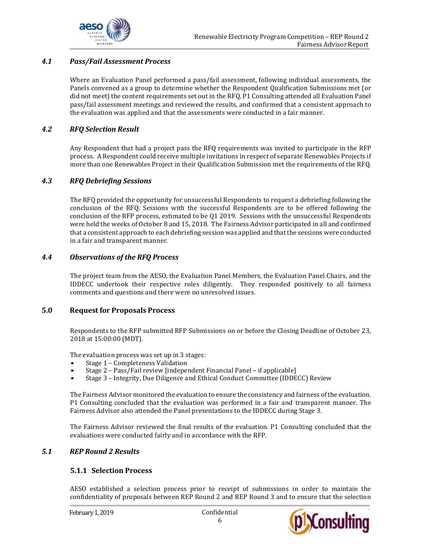

# <span id="page-5-0"></span>*4.1 Pass/Fail Assessment Process*

Where an Evaluation Panel performed a pass/fail assessment, following individual assessments, the Panels convened as a group to determine whether the Respondent Qualification Submissions met (or did not meet) the content requirements set out in the RFQ. P1 Consulting attended all Evaluation Panel pass/fail assessment meetings and reviewed the results, and confirmed that a consistent approach to the evaluation was applied and that the assessments were conducted in a fair manner.

#### <span id="page-5-1"></span>*4.2 RFQ Selection Result*

Any Respondent that had a project pass the RFQ requirements was invited to participate in the RFP process. A Respondent could receive multiple invitations in respect of separate Renewables Projects if more than one Renewables Project in their Qualification Submission met the requirements of the RFQ.

#### <span id="page-5-2"></span>*4.3 RFQ Debriefing Sessions*

The RFQ provided the opportunity for unsuccessful Respondents to request a debriefing following the conclusion of the RFQ. Sessions with the successful Respondents are to be offered following the conclusion of the RFP process, estimated to be Q1 2019. Sessions with the unsuccessful Respondents were held the weeks of October 8 and 15, 2018. The Fairness Advisor participated in all and confirmed that a consistent approach to each debriefing session was applied and thatthe sessions were conducted in a fair and transparent manner.

#### <span id="page-5-3"></span>*4.4 Observations of the RFQ Process*

The project team from the AESO, the Evaluation Panel Members, the Evaluation Panel Chairs, and the IDDECC undertook their respective roles diligently. They responded positively to all fairness comments and questions and there were no unresolved issues.

#### <span id="page-5-4"></span>**5.0 Request for Proposals Process**

Respondents to the RFP submitted RFP Submissions on or before the Closing Deadline of October 23, 2018 at 15:00:00 (MDT).

The evaluation process was set up in 3 stages:

- Stage 1 Completeness Validation
- Stage 2 Pass/Fail review [independent Financial Panel if applicable]
- Stage 3 Integrity, Due Diligence and Ethical Conduct Committee (IDDECC) Review

The Fairness Advisor monitored the evaluation to ensure the consistency and fairness ofthe evaluation. P1 Consulting concluded that the evaluation was performed in a fair and transparent manner. The Fairness Advisor also attended the Panel presentations to the IDDECC during Stage 3.

The Fairness Advisor reviewed the final results of the evaluation. P1 Consulting concluded that the evaluations were conducted fairly and in accordance with the RFP.

# <span id="page-5-5"></span>*5.1 REP Round 2 Results*

#### **5.1.1 Selection Process**

AESO established a selection process prior to receipt of submissions in order to maintain the confidentiality of proposals between REP Round 2 and REP Round 3 and to ensure that the selection